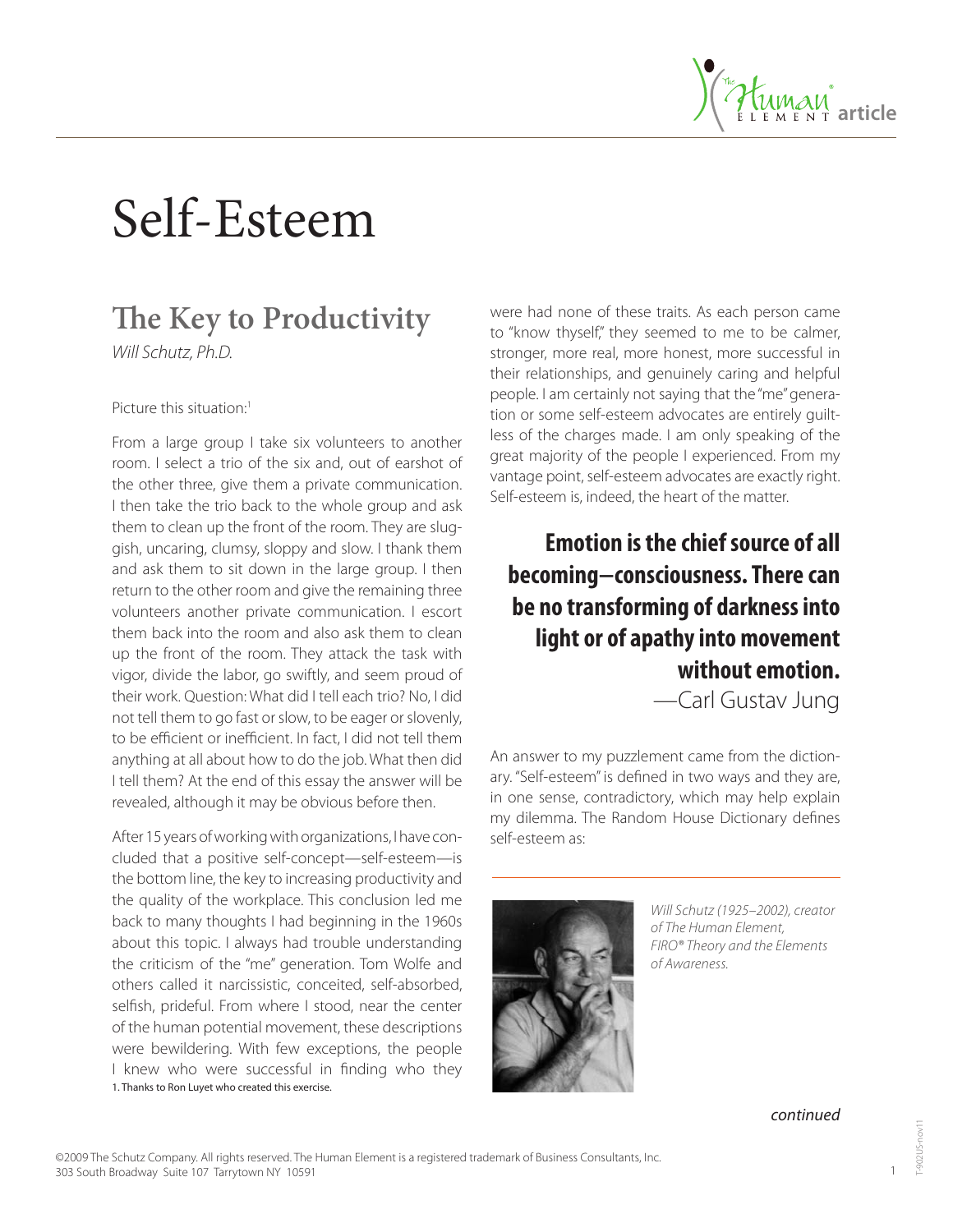

# **The Key to Productivity**

*Will Schutz, Ph.D.*

Picture this situation:1

From a large group I take six volunteers to another room. I select a trio of the six and, out of earshot of the other three, give them a private communication. I then take the trio back to the whole group and ask them to clean up the front of the room. They are sluggish, uncaring, clumsy, sloppy and slow. I thank them and ask them to sit down in the large group. I then return to the other room and give the remaining three volunteers another private communication. I escort them back into the room and also ask them to clean up the front of the room. They attack the task with vigor, divide the labor, go swiftly, and seem proud of their work. Question: What did I tell each trio? No, I did not tell them to go fast or slow, to be eager or slovenly, to be efficient or inefficient. In fact, I did not tell them anything at all about how to do the job. What then did I tell them? At the end of this essay the answer will be revealed, although it may be obvious before then.

After 15 years of working with organizations, I have concluded that a positive self-concept—self-esteem—is the bottom line, the key to increasing productivity and the quality of the workplace. This conclusion led me back to many thoughts I had beginning in the 1960s about this topic. I always had trouble understanding the criticism of the "me" generation. Tom Wolfe and others called it narcissistic, conceited, self-absorbed, selfish, prideful. From where I stood, near the center of the human potential movement, these descriptions were bewildering. With few exceptions, the people I knew who were successful in finding who they 1. Thanks to Ron Luyet who created this exercise.

were had none of these traits. As each person came to "know thyself," they seemed to me to be calmer, stronger, more real, more honest, more successful in their relationships, and genuinely caring and helpful people. I am certainly not saying that the "me" generation or some self-esteem advocates are entirely guiltless of the charges made. I am only speaking of the great majority of the people I experienced. From my vantage point, self-esteem advocates are exactly right. Self-esteem is, indeed, the heart of the matter.

# **Emotion is the chief source of all becoming−consciousness. There can be no transforming of darkness into light or of apathy into movement without emotion.**

—Carl Gustav Jung

An answer to my puzzlement came from the dictionary. "Self-esteem" is defined in two ways and they are, in one sense, contradictory, which may help explain my dilemma. The Random House Dictionary defines self-esteem as:



*Will Schutz (1925–2002), creator of The Human Element, FIRO® Theory and the Elements of Awareness.*

*continued*

1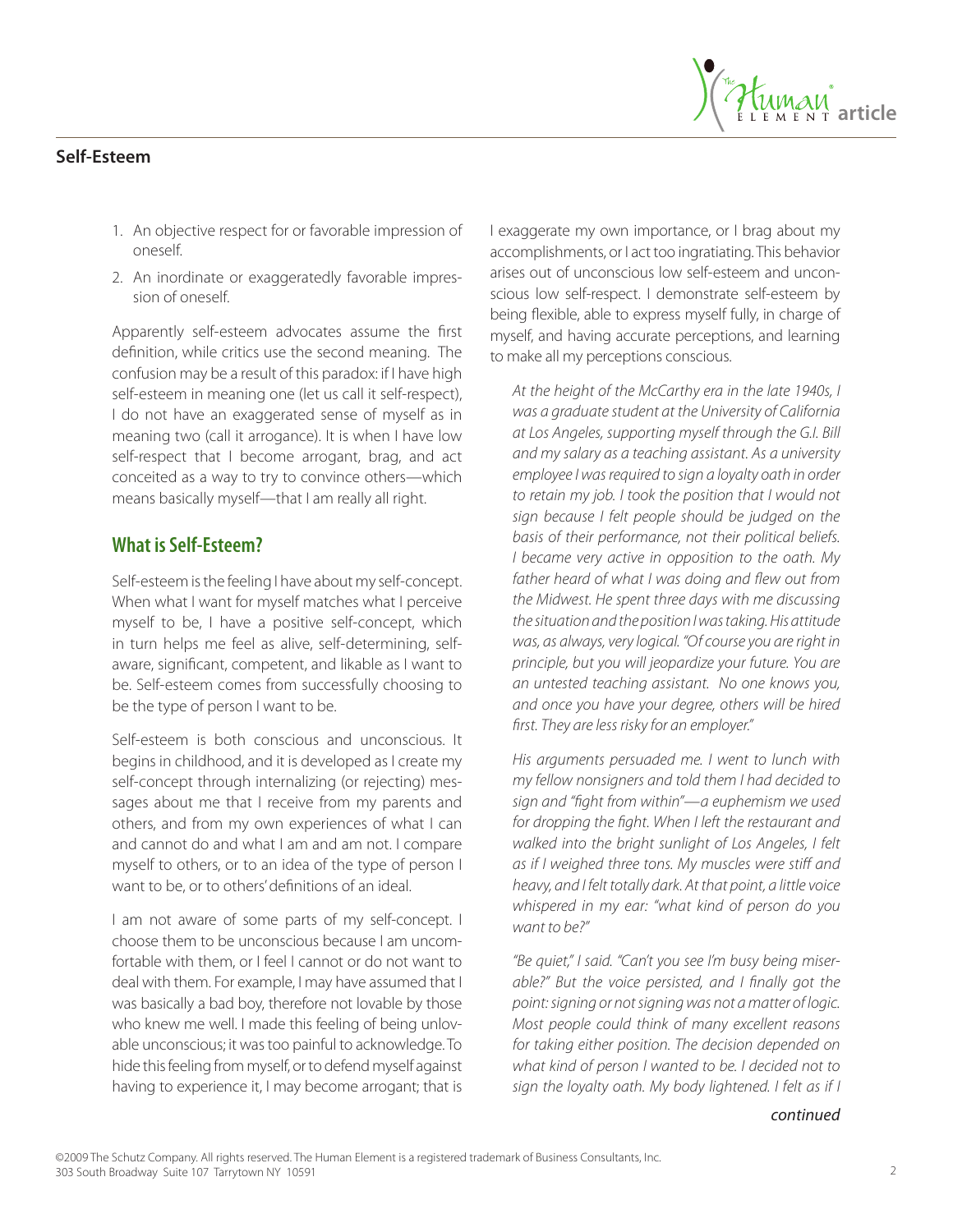**article**

- 1. An objective respect for or favorable impression of oneself.
- 2. An inordinate or exaggeratedly favorable impression of oneself.

Apparently self-esteem advocates assume the first definition, while critics use the second meaning. The confusion may be a result of this paradox: if I have high self-esteem in meaning one (let us call it self-respect), I do not have an exaggerated sense of myself as in meaning two (call it arrogance). It is when I have low self-respect that I become arrogant, brag, and act conceited as a way to try to convince others—which means basically myself—that I am really all right.

# **What is Self-Esteem?**

Self-esteem is the feeling I have about my self-concept. When what I want for myself matches what I perceive myself to be, I have a positive self-concept, which in turn helps me feel as alive, self-determining, selfaware, significant, competent, and likable as I want to be. Self-esteem comes from successfully choosing to be the type of person I want to be.

Self-esteem is both conscious and unconscious. It begins in childhood, and it is developed as I create my self-concept through internalizing (or rejecting) messages about me that I receive from my parents and others, and from my own experiences of what I can and cannot do and what I am and am not. I compare myself to others, or to an idea of the type of person I want to be, or to others' definitions of an ideal.

I am not aware of some parts of my self-concept. I choose them to be unconscious because I am uncomfortable with them, or I feel I cannot or do not want to deal with them. For example, I may have assumed that I was basically a bad boy, therefore not lovable by those who knew me well. I made this feeling of being unlovable unconscious; it was too painful to acknowledge. To hide this feeling from myself, or to defend myself against having to experience it, I may become arrogant; that is

I exaggerate my own importance, or I brag about my accomplishments, or I act too ingratiating. This behavior arises out of unconscious low self-esteem and unconscious low self-respect. I demonstrate self-esteem by being flexible, able to express myself fully, in charge of myself, and having accurate perceptions, and learning to make all my perceptions conscious.

*At the height of the McCarthy era in the late 1940s, I was a graduate student at the University of California at Los Angeles, supporting myself through the G.I. Bill and my salary as a teaching assistant. As a university employee I was required to sign a loyalty oath in order to retain my job. I took the position that I would not sign because I felt people should be judged on the basis of their performance, not their political beliefs. I became very active in opposition to the oath. My father heard of what I was doing and flew out from the Midwest. He spent three days with me discussing the situation and the position I was taking. His attitude was, as always, very logical. "Of course you are right in principle, but you will jeopardize your future. You are an untested teaching assistant. No one knows you, and once you have your degree, others will be hired first. They are less risky for an employer."*

*His arguments persuaded me. I went to lunch with my fellow nonsigners and told them I had decided to sign and "fight from within"—a euphemism we used for dropping the fight. When I left the restaurant and walked into the bright sunlight of Los Angeles, I felt as if I weighed three tons. My muscles were stiff and heavy, and I felt totally dark. At that point, a little voice whispered in my ear: "what kind of person do you want to be?"* 

*"Be quiet," I said. "Can't you see I'm busy being miserable?" But the voice persisted, and I finally got the point: signing or not signing was not a matter of logic. Most people could think of many excellent reasons for taking either position. The decision depended on what kind of person I wanted to be. I decided not to sign the loyalty oath. My body lightened. I felt as if I*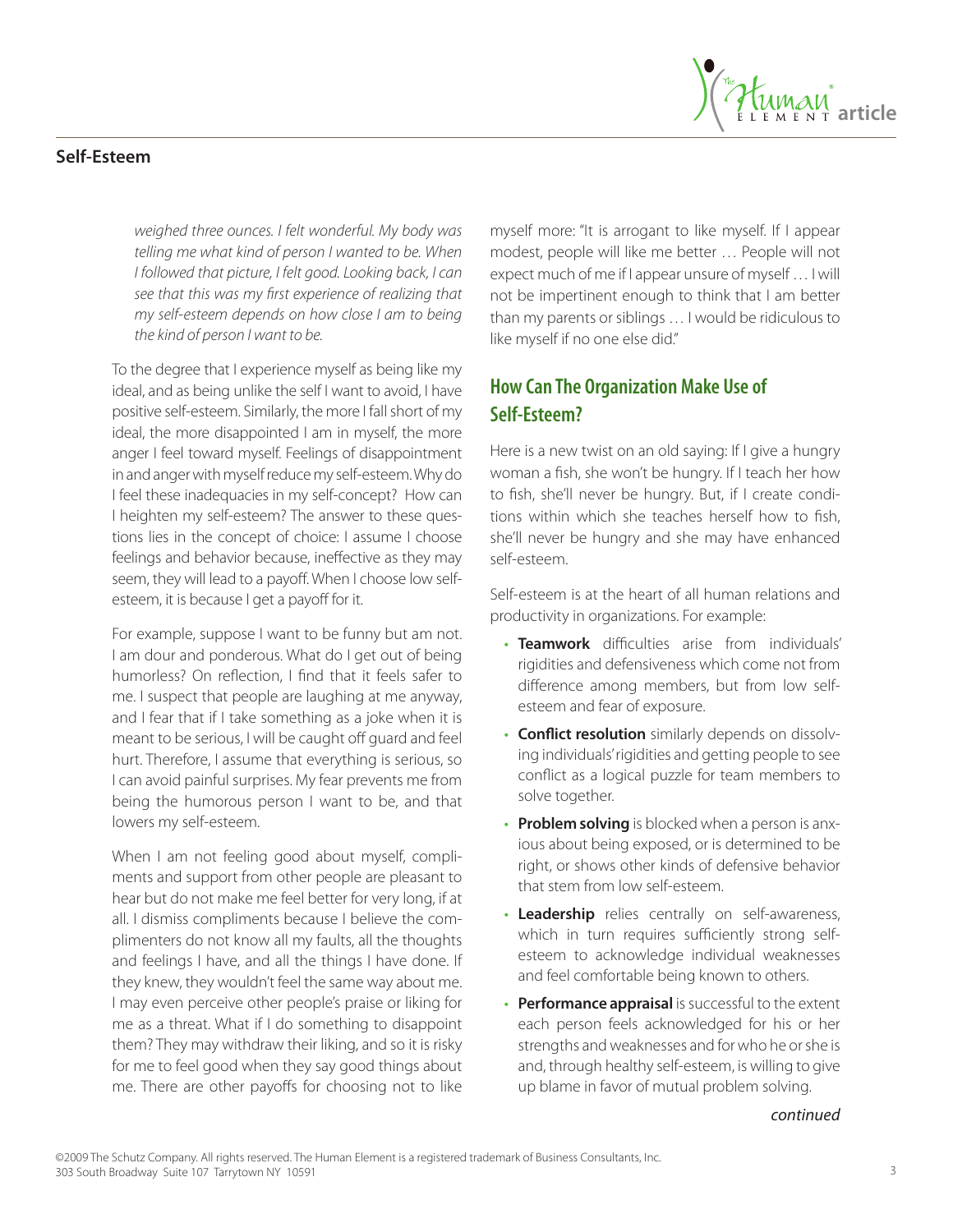

*weighed three ounces. I felt wonderful. My body was telling me what kind of person I wanted to be. When I followed that picture, I felt good. Looking back, I can see that this was my first experience of realizing that my self-esteem depends on how close I am to being the kind of person I want to be.*

To the degree that I experience myself as being like my ideal, and as being unlike the self I want to avoid, I have positive self-esteem. Similarly, the more I fall short of my ideal, the more disappointed I am in myself, the more anger I feel toward myself. Feelings of disappointment in and anger with myself reduce my self-esteem. Why do I feel these inadequacies in my self-concept? How can I heighten my self-esteem? The answer to these questions lies in the concept of choice: I assume I choose feelings and behavior because, ineffective as they may seem, they will lead to a payoff. When I choose low selfesteem, it is because I get a payoff for it.

For example, suppose I want to be funny but am not. I am dour and ponderous. What do I get out of being humorless? On reflection, I find that it feels safer to me. I suspect that people are laughing at me anyway, and I fear that if I take something as a joke when it is meant to be serious, I will be caught off guard and feel hurt. Therefore, I assume that everything is serious, so I can avoid painful surprises. My fear prevents me from being the humorous person I want to be, and that lowers my self-esteem.

When I am not feeling good about myself, compliments and support from other people are pleasant to hear but do not make me feel better for very long, if at all. I dismiss compliments because I believe the complimenters do not know all my faults, all the thoughts and feelings I have, and all the things I have done. If they knew, they wouldn't feel the same way about me. I may even perceive other people's praise or liking for me as a threat. What if I do something to disappoint them? They may withdraw their liking, and so it is risky for me to feel good when they say good things about me. There are other payoffs for choosing not to like

myself more: "It is arrogant to like myself. If I appear modest, people will like me better … People will not expect much of me if I appear unsure of myself … I will not be impertinent enough to think that I am better than my parents or siblings … I would be ridiculous to like myself if no one else did."

# **How Can The Organization Make Use of Self-Esteem?**

Here is a new twist on an old saying: If I give a hungry woman a fish, she won't be hungry. If I teach her how to fish, she'll never be hungry. But, if I create conditions within which she teaches herself how to fish, she'll never be hungry and she may have enhanced self-esteem.

Self-esteem is at the heart of all human relations and productivity in organizations. For example:

- **Teamwork** difficulties arise from individuals' rigidities and defensiveness which come not from difference among members, but from low selfesteem and fear of exposure.
- **Conflict resolution** similarly depends on dissolving individuals' rigidities and getting people to see conflict as a logical puzzle for team members to solve together.
- **Problem solving** is blocked when a person is anxious about being exposed, or is determined to be right, or shows other kinds of defensive behavior that stem from low self-esteem.
- Leadership relies centrally on self-awareness, which in turn requires sufficiently strong selfesteem to acknowledge individual weaknesses and feel comfortable being known to others.
- **Performance appraisal** is successful to the extent each person feels acknowledged for his or her strengths and weaknesses and for who he or she is and, through healthy self-esteem, is willing to give up blame in favor of mutual problem solving.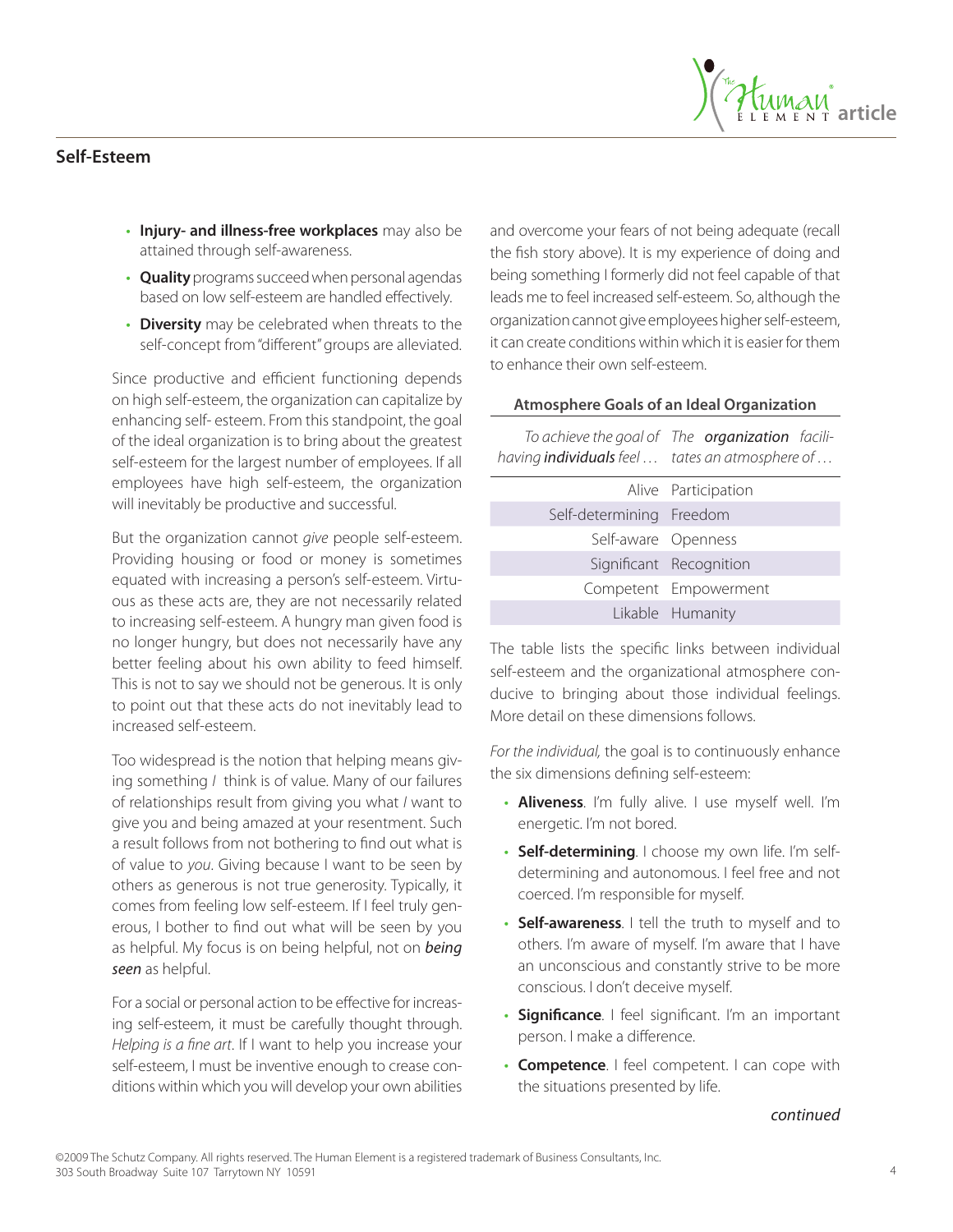

- **· Injury- and illness-free workplaces** may also be attained through self-awareness.
- **Quality** programs succeed when personal agendas based on low self-esteem are handled effectively.
- **Diversity** may be celebrated when threats to the self-concept from "different" groups are alleviated.

Since productive and efficient functioning depends on high self-esteem, the organization can capitalize by enhancing self- esteem. From this standpoint, the goal of the ideal organization is to bring about the greatest self-esteem for the largest number of employees. If all employees have high self-esteem, the organization will inevitably be productive and successful.

But the organization cannot *give* people self-esteem. Providing housing or food or money is sometimes equated with increasing a person's self-esteem. Virtuous as these acts are, they are not necessarily related to increasing self-esteem. A hungry man given food is no longer hungry, but does not necessarily have any better feeling about his own ability to feed himself. This is not to say we should not be generous. It is only to point out that these acts do not inevitably lead to increased self-esteem.

Too widespread is the notion that helping means giving something *I* think is of value. Many of our failures of relationships result from giving you what *I* want to give you and being amazed at your resentment. Such a result follows from not bothering to find out what is of value to *you*. Giving because I want to be seen by others as generous is not true generosity. Typically, it comes from feeling low self-esteem. If I feel truly generous, I bother to find out what will be seen by you as helpful. My focus is on being helpful, not on *being seen* as helpful.

For a social or personal action to be effective for increasing self-esteem, it must be carefully thought through. *Helping is a fine art*. If I want to help you increase your self-esteem, I must be inventive enough to crease conditions within which you will develop your own abilities and overcome your fears of not being adequate (recall the fish story above). It is my experience of doing and being something I formerly did not feel capable of that leads me to feel increased self-esteem. So, although the organization cannot give employees higher self-esteem, it can create conditions within which it is easier for them to enhance their own self-esteem.

#### **Atmosphere Goals of an Ideal Organization**

*To achieve the goal of The organization facilihaving individuals feel … tates an atmosphere of …*

|                          | Alive Participation     |
|--------------------------|-------------------------|
| Self-determining Freedom |                         |
|                          | Self-aware Openness     |
|                          | Significant Recognition |
|                          | Competent Empowerment   |
|                          | Likable Humanity        |

The table lists the specific links between individual self-esteem and the organizational atmosphere conducive to bringing about those individual feelings. More detail on these dimensions follows.

*For the individual,* the goal is to continuously enhance the six dimensions defining self-esteem:

- • **Aliveness**. I'm fully alive. I use myself well. I'm energetic. I'm not bored.
- **Self-determining**. I choose my own life. I'm selfdetermining and autonomous. I feel free and not coerced. I'm responsible for myself.
- • **Self-awareness**. I tell the truth to myself and to others. I'm aware of myself. I'm aware that I have an unconscious and constantly strive to be more conscious. I don't deceive myself.
- **Significance**. I feel significant. I'm an important person. I make a difference.
- • **Competence**. I feel competent. I can cope with the situations presented by life.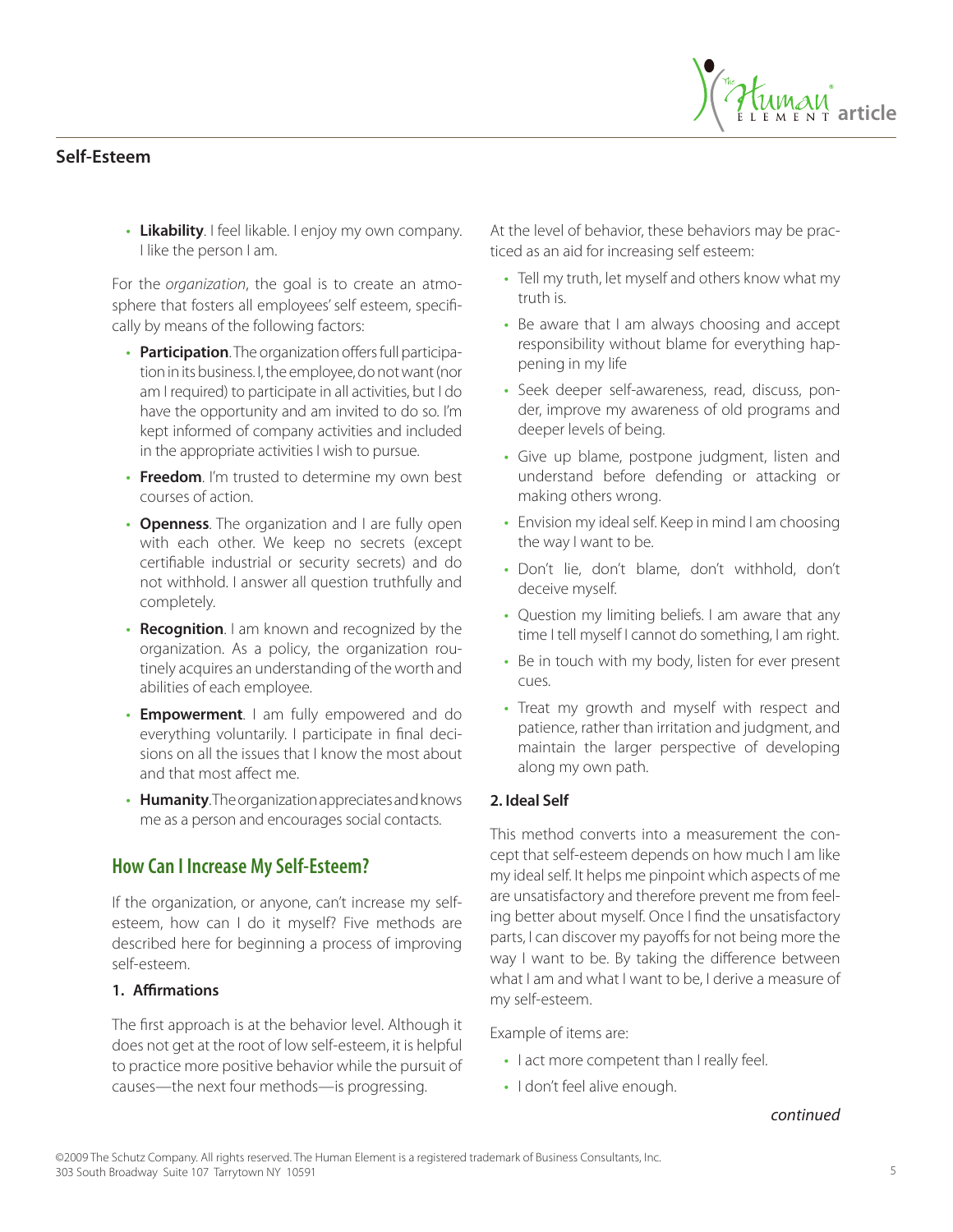

• **Likability**. I feel likable. I enjoy my own company. I like the person I am.

For the *organization*, the goal is to create an atmosphere that fosters all employees' self esteem, specifically by means of the following factors:

- Participation. The organization offers full participation in its business. I, the employee, do not want (nor am I required) to participate in all activities, but I do have the opportunity and am invited to do so. I'm kept informed of company activities and included in the appropriate activities I wish to pursue.
- Freedom. I'm trusted to determine my own best courses of action.
- • **Openness**. The organization and I are fully open with each other. We keep no secrets (except certifiable industrial or security secrets) and do not withhold. I answer all question truthfully and completely.
- **Recognition**. I am known and recognized by the organization. As a policy, the organization routinely acquires an understanding of the worth and abilities of each employee.
- • **Empowerment**. I am fully empowered and do everything voluntarily. I participate in final decisions on all the issues that I know the most about and that most affect me.
- **Humanity**. The organization appreciates and knows me as a person and encourages social contacts.

# **How Can I Increase My Self-Esteem?**

If the organization, or anyone, can't increase my selfesteem, how can I do it myself? Five methods are described here for beginning a process of improving self-esteem.

#### **1. Affirmations**

The first approach is at the behavior level. Although it does not get at the root of low self-esteem, it is helpful to practice more positive behavior while the pursuit of causes—the next four methods—is progressing.

At the level of behavior, these behaviors may be practiced as an aid for increasing self esteem:

- Tell my truth, let myself and others know what my truth is.
- Be aware that I am always choosing and accept responsibility without blame for everything happening in my life
- Seek deeper self-awareness, read, discuss, ponder, improve my awareness of old programs and deeper levels of being.
- Give up blame, postpone judgment, listen and understand before defending or attacking or making others wrong.
- Envision my ideal self. Keep in mind I am choosing the way I want to be.
- Don't lie, don't blame, don't withhold, don't deceive myself.
- Question my limiting beliefs. I am aware that any time I tell myself I cannot do something, I am right.
- Be in touch with my body, listen for ever present cues.
- Treat my growth and myself with respect and patience, rather than irritation and judgment, and maintain the larger perspective of developing along my own path.

#### **2. Ideal Self**

This method converts into a measurement the concept that self-esteem depends on how much I am like my ideal self. It helps me pinpoint which aspects of me are unsatisfactory and therefore prevent me from feeling better about myself. Once I find the unsatisfactory parts, I can discover my payoffs for not being more the way I want to be. By taking the difference between what I am and what I want to be, I derive a measure of my self-esteem.

Example of items are:

- I act more competent than I really feel.
- I don't feel alive enough.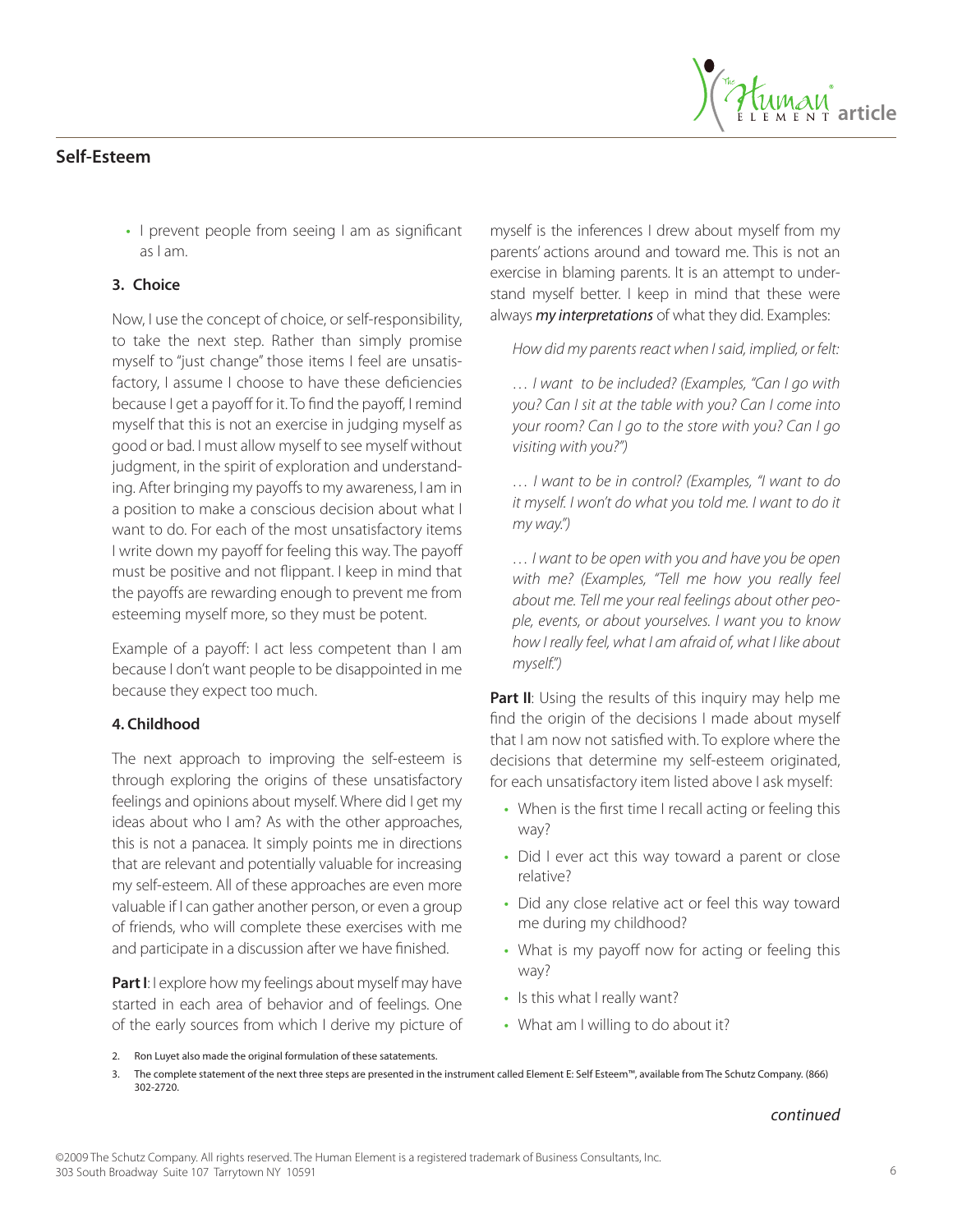**article**

• I prevent people from seeing I am as significant as I am.

### **3. Choice**

Now, I use the concept of choice, or self-responsibility, to take the next step. Rather than simply promise myself to "just change" those items I feel are unsatisfactory, I assume I choose to have these deficiencies because I get a payoff for it. To find the payoff, I remind myself that this is not an exercise in judging myself as good or bad. I must allow myself to see myself without judgment, in the spirit of exploration and understanding. After bringing my payoffs to my awareness, I am in a position to make a conscious decision about what I want to do. For each of the most unsatisfactory items I write down my payoff for feeling this way. The payoff must be positive and not flippant. I keep in mind that the payoffs are rewarding enough to prevent me from esteeming myself more, so they must be potent.

Example of a payoff: I act less competent than I am because I don't want people to be disappointed in me because they expect too much.

### **4. Childhood**

The next approach to improving the self-esteem is through exploring the origins of these unsatisfactory feelings and opinions about myself. Where did I get my ideas about who I am? As with the other approaches, this is not a panacea. It simply points me in directions that are relevant and potentially valuable for increasing my self-esteem. All of these approaches are even more valuable if I can gather another person, or even a group of friends, who will complete these exercises with me and participate in a discussion after we have finished.

Part I: I explore how my feelings about myself may have started in each area of behavior and of feelings. One of the early sources from which I derive my picture of myself is the inferences I drew about myself from my parents' actions around and toward me. This is not an exercise in blaming parents. It is an attempt to understand myself better. I keep in mind that these were always *my interpretations* of what they did. Examples:

*How did my parents react when I said, implied, or felt:* 

*… I want to be included? (Examples, "Can I go with you? Can I sit at the table with you? Can I come into your room? Can I go to the store with you? Can I go visiting with you?")*

*… I want to be in control? (Examples, "I want to do it myself. I won't do what you told me. I want to do it my way.")*

*… I want to be open with you and have you be open with me? (Examples, "Tell me how you really feel about me. Tell me your real feelings about other people, events, or about yourselves. I want you to know how I really feel, what I am afraid of, what I like about myself.")*

Part II: Using the results of this inquiry may help me find the origin of the decisions I made about myself that I am now not satisfied with. To explore where the decisions that determine my self-esteem originated, for each unsatisfactory item listed above I ask myself:

- When is the first time I recall acting or feeling this way?
- Did I ever act this way toward a parent or close relative?
- Did any close relative act or feel this way toward me during my childhood?
- What is my payoff now for acting or feeling this way?
- Is this what I really want?
- What am I willing to do about it?
- 2. Ron Luyet also made the original formulation of these satatements.
- 3. The complete statement of the next three steps are presented in the instrument called Element E: Self Esteem™, available from The Schutz Company. (866) 302-2720.